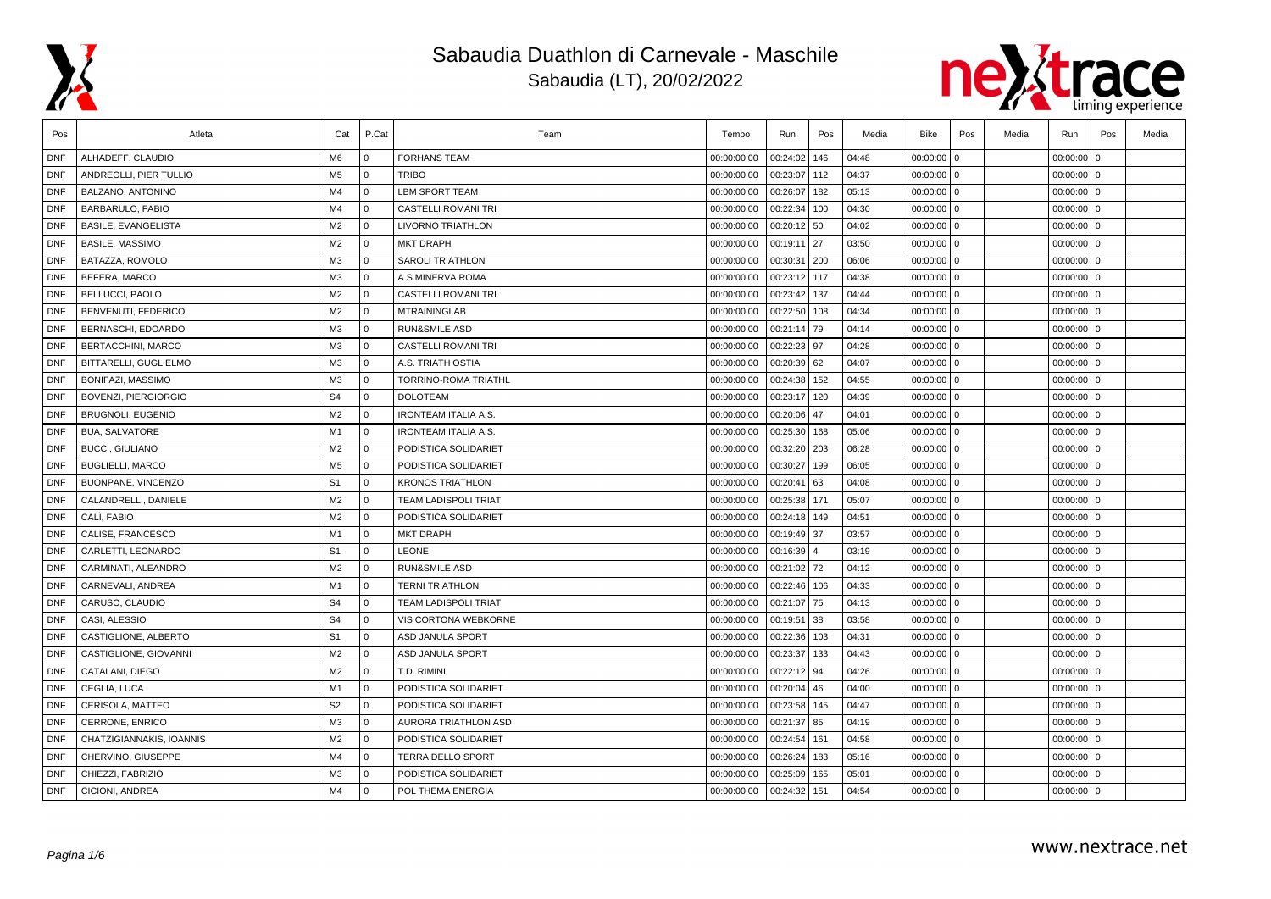



| Pos        | Atleta                     | Cat            | P.Cat          | Team                        | Tempo       | Run         | Pos                    | Media | Bike         | Pos | Media | Run          | Pos            | Media |
|------------|----------------------------|----------------|----------------|-----------------------------|-------------|-------------|------------------------|-------|--------------|-----|-------|--------------|----------------|-------|
| <b>DNF</b> | ALHADEFF, CLAUDIO          | M6             | $\mathbf{0}$   | <b>FORHANS TEAM</b>         | 00:00:00.00 | 00:24:02    | 146                    | 04:48 | $00:00:00$ 0 |     |       | 00:00:00     | $\mathbf 0$    |       |
| <b>DNF</b> | ANDREOLLI, PIER TULLIO     | M <sub>5</sub> | l 0            | <b>TRIBO</b>                | 00:00:00.00 | 00:23:07    | 112                    | 04:37 | $00:00:00$ 0 |     |       | $00:00:00$ 0 |                |       |
| <b>DNF</b> | BALZANO, ANTONINO          | M4             | l 0            | <b>LBM SPORT TEAM</b>       | 00:00:00.00 | 00:26:07    | 182                    | 05:13 | $00:00:00$ 0 |     |       | $00:00:00$ 0 |                |       |
| <b>DNF</b> | <b>BARBARULO, FABIO</b>    | M4             | $\overline{0}$ | <b>CASTELLI ROMANI TRI</b>  | 00:00:00.00 | 00:22:34    | 100                    | 04:30 | $00:00:00$ 0 |     |       | 00:00:00     | l o            |       |
| <b>DNF</b> | BASILE, EVANGELISTA        | M <sub>2</sub> | $\Omega$       | LIVORNO TRIATHLON           | 00:00:00.00 | 00:20:12    | 50                     | 04:02 | $00:00:00$ 0 |     |       | 00:00:00     | $\overline{0}$ |       |
| <b>DNF</b> | <b>BASILE, MASSIMO</b>     | M2             | $\overline{0}$ | <b>MKT DRAPH</b>            | 00:00:00.00 | 00:19:11    | 27                     | 03:50 | $00:00:00$ 0 |     |       | 00:00:00     | 0              |       |
| <b>DNF</b> | BATAZZA, ROMOLO            | M3             | $\Omega$       | <b>SAROLI TRIATHLON</b>     | 00:00:00.00 | 00:30:31    | 200                    | 06:06 | $00:00:00$ 0 |     |       | $00:00:00$ 0 |                |       |
| <b>DNF</b> | BEFERA, MARCO              | M3             | l 0            | A.S.MINERVA ROMA            | 00:00:00.00 | 00:23:12    | 117                    | 04:38 | $00:00:00$ 0 |     |       | $00:00:00$ 0 |                |       |
| <b>DNF</b> | BELLUCCI, PAOLO            | M2             | l o            | <b>CASTELLI ROMANI TRI</b>  | 00:00:00.00 | 00:23:42    | 137                    | 04:44 | $00:00:00$ 0 |     |       | $00:00:00$ 0 |                |       |
| <b>DNF</b> | <b>BENVENUTI, FEDERICO</b> | M <sub>2</sub> | l 0            | <b>MTRAININGLAB</b>         | 00:00:00.00 | 00:22:50    | 108                    | 04:34 | $00:00:00$ 0 |     |       | 00:00:00     | l o            |       |
| DNF        | BERNASCHI, EDOARDO         | M <sub>3</sub> | l 0            | <b>RUN&amp;SMILE ASD</b>    | 00:00:00.00 | 00:21:14    | 79                     | 04:14 | $00:00:00$ 0 |     |       | $00:00:00$ 0 |                |       |
| <b>DNF</b> | BERTACCHINI, MARCO         | M <sub>3</sub> | l 0            | <b>CASTELLI ROMANI TRI</b>  | 00:00:00.00 | 00:22:23 97 |                        | 04:28 | $00:00:00$ 0 |     |       | $00:00:00$ 0 |                |       |
| <b>DNF</b> | BITTARELLI, GUGLIELMO      | M3             | 0              | A.S. TRIATH OSTIA           | 00:00:00.00 | 00:20:39 62 |                        | 04:07 | $00:00:00$ 0 |     |       | 00:00:00     | l o            |       |
| <b>DNF</b> | BONIFAZI, MASSIMO          | M <sub>3</sub> | $\mathbf{0}$   | TORRINO-ROMA TRIATHL        | 00:00:00.00 | 00:24:38    | 152                    | 04:55 | 00:00:00 0   |     |       | 00:00:00     | $\mathbf 0$    |       |
| <b>DNF</b> | BOVENZI, PIERGIORGIO       | S <sub>4</sub> | l 0            | <b>DOLOTEAM</b>             | 00:00:00.00 | 00:23:17    | 120                    | 04:39 | $00:00:00$ 0 |     |       | $00:00:00$ 0 |                |       |
| <b>DNF</b> | <b>BRUGNOLI, EUGENIO</b>   | M2             | l 0            | <b>IRONTEAM ITALIA A.S.</b> | 00:00:00.00 | 00:20:06    | 47                     | 04:01 | $00:00:00$ 0 |     |       | $00:00:00$ 0 |                |       |
| <b>DNF</b> | <b>BUA, SALVATORE</b>      | M <sub>1</sub> | l 0            | <b>IRONTEAM ITALIA A.S.</b> | 00:00:00.00 | 00:25:30    | 168                    | 05:06 | $00:00:00$ 0 |     |       | $00:00:00$ 0 |                |       |
| <b>DNF</b> | <b>BUCCI, GIULIANO</b>     | M2             | $\overline{0}$ | PODISTICA SOLIDARIET        | 00:00:00.00 | 00:32:20    | 203                    | 06:28 | $00:00:00$ 0 |     |       | $00:00:00$ 0 |                |       |
| <b>DNF</b> | <b>BUGLIELLI, MARCO</b>    | M <sub>5</sub> | $\overline{0}$ | PODISTICA SOLIDARIET        | 00:00:00.00 | 00:30:27    | 199                    | 06:05 | $00:00:00$ 0 |     |       | 00:00:00     | l o            |       |
| <b>DNF</b> | BUONPANE, VINCENZO         | S <sub>1</sub> | l o            | <b>KRONOS TRIATHLON</b>     | 00:00:00.00 | 00:20:41    | 63                     | 04:08 | $00:00:00$ 0 |     |       | $00:00:00$ 0 |                |       |
| <b>DNF</b> | CALANDRELLI, DANIELE       | M <sub>2</sub> | $\Omega$       | <b>TEAM LADISPOLI TRIAT</b> | 00:00:00.00 | 00:25:38    | 171                    | 05:07 | $00:00:00$ 0 |     |       | 00:00:00     | l o            |       |
| <b>DNF</b> | CALÌ. FABIO                | M <sub>2</sub> | $\Omega$       | PODISTICA SOLIDARIET        | 00:00:00.00 | 00:24:18    | 149                    | 04:51 | $00:00:00$ 0 |     |       | 00:00:00     | I٥             |       |
| <b>DNF</b> | CALISE, FRANCESCO          | M1             | $\overline{0}$ | <b>MKT DRAPH</b>            | 00:00:00.00 | 00:19:49    | 37                     | 03:57 | $00:00:00$ 0 |     |       | 00:00:00     | $\Omega$       |       |
| <b>DNF</b> | CARLETTI, LEONARDO         | S <sub>1</sub> | l o            | <b>LEONE</b>                | 00:00:00.00 | 00:16:39    | $\boldsymbol{\Lambda}$ | 03:19 | $00:00:00$ 0 |     |       | $00:00:00$ 0 |                |       |
| <b>DNF</b> | CARMINATI, ALEANDRO        | M <sub>2</sub> | $\Omega$       | <b>RUN&amp;SMILE ASD</b>    | 00:00:00.00 | 00:21:02 72 |                        | 04:12 | $00:00:00$ 0 |     |       | 00:00:00000  |                |       |
| <b>DNF</b> | CARNEVALI, ANDREA          | M <sub>1</sub> | 0              | <b>TERNI TRIATHLON</b>      | 00:00:00.00 | 00:22:46    | 106                    | 04:33 | $00:00:00$ 0 |     |       | $00:00:00$ 0 |                |       |
| <b>DNF</b> | CARUSO, CLAUDIO            | S <sub>4</sub> | $\overline{0}$ | <b>TEAM LADISPOLI TRIAT</b> | 00:00:00.00 | 00:21:07    | 75                     | 04:13 | $00:00:00$ 0 |     |       | 00:00:00     | l 0            |       |
| <b>DNF</b> | CASI, ALESSIO              | S <sub>4</sub> | l 0            | VIS CORTONA WEBKORNE        | 00:00:00.00 | 00:19:51    | 38                     | 03:58 | $00:00:00$ 0 |     |       | $00:00:00$ 0 |                |       |
| <b>DNF</b> | CASTIGLIONE, ALBERTO       | S <sub>1</sub> | $\overline{0}$ | ASD JANULA SPORT            | 00:00:00.00 | 00:22:36    | 103                    | 04:31 | $00:00:00$ 0 |     |       | $00:00:00$ 0 |                |       |
| <b>DNF</b> | CASTIGLIONE, GIOVANNI      | M <sub>2</sub> | l 0            | ASD JANULA SPORT            | 00:00:00.00 | 00:23:37    | 133                    | 04:43 | $00:00:00$ 0 |     |       | 00:00:00     | l o            |       |
| <b>DNF</b> | CATALANI, DIEGO            | M2             | $\Omega$       | T.D. RIMINI                 | 00:00:00.00 | 00:22:12    | 94                     | 04:26 | 00:00:00 0   |     |       | 00:00:00     | $\overline{0}$ |       |
| <b>DNF</b> | CEGLIA, LUCA               | M1             | $\overline{0}$ | PODISTICA SOLIDARIET        | 00:00:00.00 | 00:20:04    | 46                     | 04:00 | $00:00:00$ 0 |     |       | 00:00:00     | $\mathbf 0$    |       |
| <b>DNF</b> | CERISOLA, MATTEO           | S <sub>2</sub> | l 0            | PODISTICA SOLIDARIET        | 00:00:00.00 | 00:23:58    | 145                    | 04:47 | $00:00:00$ 0 |     |       | $00:00:00$ 0 |                |       |
| <b>DNF</b> | CERRONE, ENRICO            | M <sub>3</sub> | l 0            | AURORA TRIATHLON ASD        | 00:00:00.00 | 00:21:37    | 85                     | 04:19 | $00:00:00$ 0 |     |       | $00:00:00$ 0 |                |       |
| <b>DNF</b> | CHATZIGIANNAKIS, IOANNIS   | M2             | l o            | PODISTICA SOLIDARIET        | 00:00:00.00 | 00:24:54    | 161                    | 04:58 | $00:00:00$ 0 |     |       | $00:00:00$ 0 |                |       |
| <b>DNF</b> | CHERVINO, GIUSEPPE         | M4             | l 0            | <b>TERRA DELLO SPORT</b>    | 00:00:00.00 | 00:26:24    | 183                    | 05:16 | $00:00:00$ 0 |     |       | 00:00:00     | l o            |       |
| <b>DNF</b> | CHIEZZI, FABRIZIO          | M3             | $\Omega$       | PODISTICA SOLIDARIET        | 00:00:00.00 | 00:25:09    | 165                    | 05:01 | $00:00:00$ 0 |     |       | $00:00:00$ 0 |                |       |
| <b>DNF</b> | CICIONI, ANDREA            | M4             | l 0            | POL THEMA ENERGIA           | 00:00:00.00 | 00:24:32    | 151                    | 04:54 | $00:00:00$ 0 |     |       | $00:00:00$ 0 |                |       |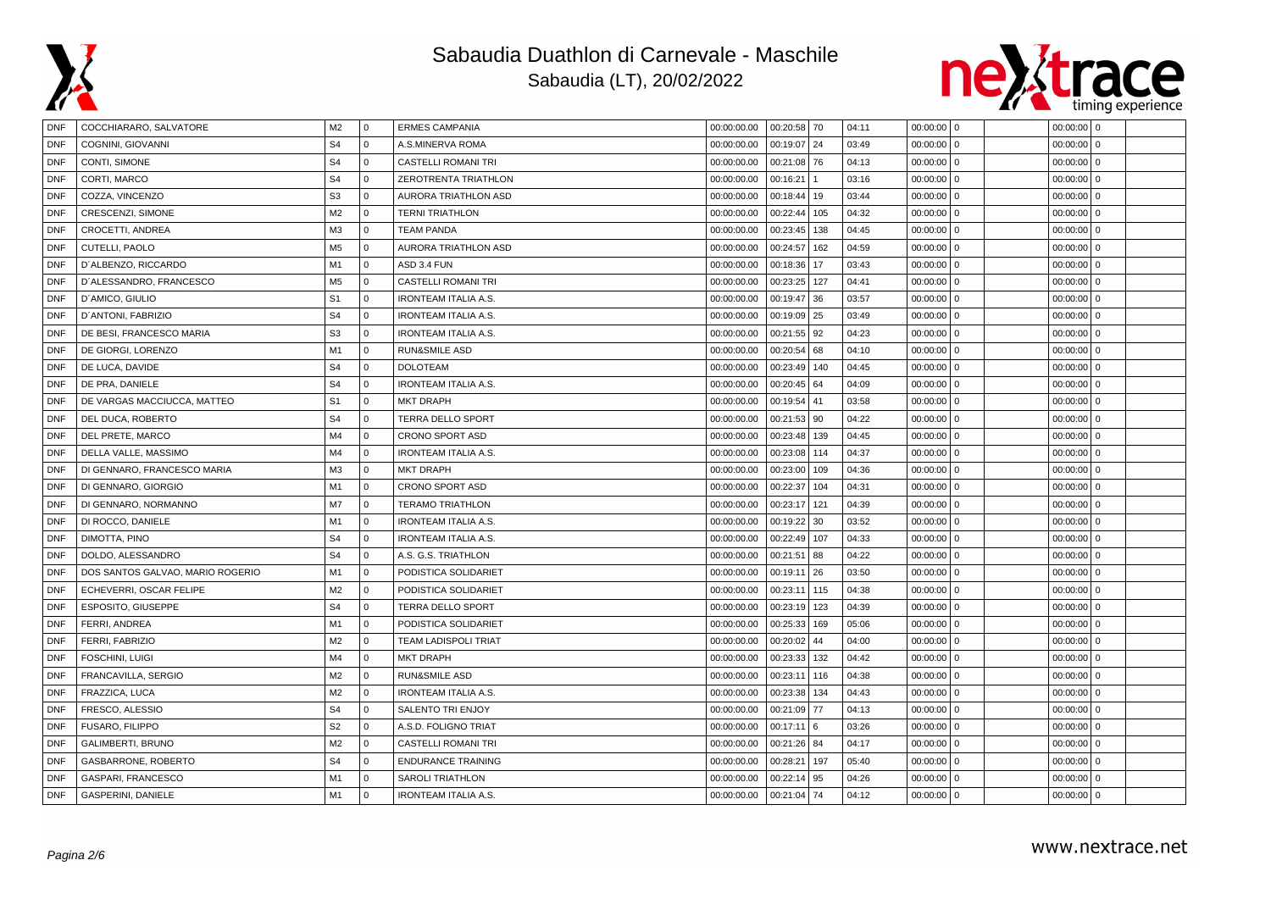



| DNF        | COCCHIARARO, SALVATORE           | M <sub>2</sub> | $^{\circ}$   | <b>ERMES CAMPANIA</b>       | 00:00:00.00 | 00:20:58 70     | 04:11 | $00:00:00$ 0             | $00:00:00$ 0 |
|------------|----------------------------------|----------------|--------------|-----------------------------|-------------|-----------------|-------|--------------------------|--------------|
| <b>DNF</b> | COGNINI, GIOVANNI                | S <sub>4</sub> | $\mathbf 0$  | A.S.MINERVA ROMA            | 00:00:00.00 | 00:19:07<br>24  | 03:49 | 00:00:00<br>0            | $00:00:00$ 0 |
| <b>DNF</b> | CONTI, SIMONE                    | S <sub>4</sub> | $\mathbf 0$  | <b>CASTELLI ROMANI TRI</b>  | 00:00:00.00 | 00:21:08<br>76  | 04:13 | 00:00:00<br>$\Omega$     | $00:00:00$ 0 |
| <b>DNF</b> | CORTI, MARCO                     | S <sub>4</sub> | $\mathbf{0}$ | ZEROTRENTA TRIATHLON        | 00:00:00.00 | 00:16:21        | 03:16 | 00:00:00<br>$\mathbf 0$  | $00:00:00$ 0 |
| <b>DNF</b> | COZZA, VINCENZO                  | S <sub>3</sub> | $\mathbf{0}$ | AURORA TRIATHLON ASD        | 00:00:00.00 | 00:18:44<br>19  | 03:44 | $00:00:00$ 0             | $00:00:00$ 0 |
| <b>DNF</b> | CRESCENZI, SIMONE                | M <sub>2</sub> | $\Omega$     | <b>TERNI TRIATHLON</b>      | 00:00:00.00 | 00:22:44<br>105 | 04:32 | 00:00:00<br>$\mathbf{0}$ | $00:00:00$ 0 |
| <b>DNF</b> | CROCETTI, ANDREA                 | M <sub>3</sub> | $\Omega$     | <b>TEAM PANDA</b>           | 00:00:00.00 | 00:23:45<br>138 | 04:45 | 00:00:00<br>$\mathbf{0}$ | $00:00:00$ 0 |
| <b>DNF</b> | CUTELLI, PAOLO                   | M <sub>5</sub> | $\mathbf 0$  | AURORA TRIATHLON ASD        | 00:00:00.00 | 00:24:57<br>162 | 04:59 | 00:00:00<br>$\mathbf 0$  | $00:00:00$ 0 |
| <b>DNF</b> | D'ALBENZO, RICCARDO              | M1             | $\mathbf{0}$ | ASD 3.4 FUN                 | 00:00:00.00 | 00:18:36<br>17  | 03:43 | $00:00:00$ 0             | $00:00:00$ 0 |
| <b>DNF</b> | D'ALESSANDRO, FRANCESCO          | M <sub>5</sub> | $\mathbf 0$  | CASTELLI ROMANI TRI         | 00:00:00.00 | 00:23:25<br>127 | 04:41 | 00:00:00<br>$\mathbf{0}$ | $00:00:00$ 0 |
| <b>DNF</b> | D'AMICO, GIULIO                  | S <sub>1</sub> | $\Omega$     | <b>IRONTEAM ITALIA A.S.</b> | 00:00:00.00 | 00:19:47<br>36  | 03:57 | 00:00:00<br>$\Omega$     | $00:00:00$ 0 |
| <b>DNF</b> | D'ANTONI, FABRIZIO               | S <sub>4</sub> | $\mathbf{0}$ | <b>IRONTEAM ITALIA A.S.</b> | 00:00:00.00 | 00:19:09<br>25  | 03:49 | 00:00:00<br>$\mathbf 0$  | $00:00:00$ 0 |
| <b>DNF</b> | DE BESI, FRANCESCO MARIA         | S <sub>3</sub> | $\Omega$     | <b>IRONTEAM ITALIA A.S.</b> | 00:00:00.00 | 00:21:55<br>92  | 04:23 | $00:00:00$ 0             | $00:00:00$ 0 |
| <b>DNF</b> | DE GIORGI, LORENZO               | M1             | $\mathbf 0$  | <b>RUN&amp;SMILE ASD</b>    | 00:00:00.00 | 00:20:54<br>68  | 04:10 | $00:00:00$ 0             | $00:00:00$ 0 |
| <b>DNF</b> | DE LUCA, DAVIDE                  | S <sub>4</sub> | $\mathbf{0}$ | <b>DOLOTEAM</b>             | 00:00:00.00 | 00:23:49<br>140 | 04:45 | $\mathbf{0}$<br>00:00:00 | $00:00:00$ 0 |
| <b>DNF</b> | DE PRA, DANIELE                  | S <sub>4</sub> | $\mathbf 0$  | <b>IRONTEAM ITALIA A.S.</b> | 00:00:00.00 | 00:20:45<br>64  | 04:09 | 00:00:00<br>$\mathbf 0$  | $00:00:00$ 0 |
| <b>DNF</b> | DE VARGAS MACCIUCCA, MATTEO      | S <sub>1</sub> | $\mathbf{0}$ | <b>MKT DRAPH</b>            | 00:00:00.00 | 00:19:54<br>41  | 03:58 | $\mathbf 0$<br>00:00:00  | $00:00:00$ 0 |
| <b>DNF</b> | DEL DUCA, ROBERTO                | S <sub>4</sub> | $\mathbf{0}$ | <b>TERRA DELLO SPORT</b>    | 00:00:00.00 | 00:21:53<br>90  | 04:22 | 00:00:00<br>$\mathbf{0}$ | $00:00:00$ 0 |
| <b>DNF</b> | DEL PRETE, MARCO                 | M <sub>4</sub> | $\Omega$     | <b>CRONO SPORT ASD</b>      | 00:00:00.00 | 00:23:48<br>139 | 04:45 | 00:00:00<br>$\Omega$     | $00:00:00$ 0 |
| <b>DNF</b> | DELLA VALLE, MASSIMO             | M4             | $\mathbf 0$  | <b>IRONTEAM ITALIA A.S.</b> | 00:00:00.00 | 00:23:08<br>114 | 04:37 | 00:00:00<br>$\Omega$     | $00:00:00$ 0 |
| <b>DNF</b> | DI GENNARO, FRANCESCO MARIA      | M <sub>3</sub> | $\mathbf{0}$ | <b>MKT DRAPH</b>            | 00:00:00.00 | 00:23:00<br>109 | 04:36 | 00:00:00<br>$\mathbf{0}$ | $00:00:00$ 0 |
| <b>DNF</b> | DI GENNARO, GIORGIO              | M1             | $\mathbf{0}$ | <b>CRONO SPORT ASD</b>      | 00:00:00.00 | 00:22:37<br>104 | 04:31 | $00:00:00$ 0             | $00:00:00$ 0 |
| <b>DNF</b> | DI GENNARO, NORMANNO             | M7             | $\mathbf{0}$ | <b>TERAMO TRIATHLON</b>     | 00:00:00.00 | 00:23:17<br>121 | 04:39 | 00:00:00<br>$\mathbf 0$  | $00:00:00$ 0 |
| <b>DNF</b> | DI ROCCO, DANIELE                | M1             | $^{\circ}$   | <b>IRONTEAM ITALIA A.S.</b> | 00:00:00.00 | 00:19:22<br>30  | 03:52 | 00:00:00<br>$\mathbf 0$  | $00:00:00$ 0 |
| <b>DNF</b> | DIMOTTA, PINO                    | S <sub>4</sub> | $\mathbf{0}$ | <b>IRONTEAM ITALIA A.S.</b> | 00:00:00.00 | 00:22:49<br>107 | 04:33 | $\mathbf 0$<br>00:00:00  | $00:00:00$ 0 |
| <b>DNF</b> | DOLDO, ALESSANDRO                | S <sub>4</sub> | $\Omega$     | A.S. G.S. TRIATHLON         | 00:00:00.00 | 00:21:51<br>88  | 04:22 | $\mathbf 0$<br>00:00:00  | $00:00:00$ 0 |
| <b>DNF</b> | DOS SANTOS GALVAO, MARIO ROGERIO | M1             | $\Omega$     | PODISTICA SOLIDARIET        | 00:00:00.00 | 00:19:11<br>26  | 03:50 | 00:00:00<br>$\mathbf 0$  | $00:00:00$ 0 |
| <b>DNF</b> | ECHEVERRI, OSCAR FELIPE          | M <sub>2</sub> | $\mathbf 0$  | PODISTICA SOLIDARIET        | 00:00:00.00 | 00:23:11<br>115 | 04:38 | 00:00:00<br>$\Omega$     | $00:00:00$ 0 |
| <b>DNF</b> | ESPOSITO, GIUSEPPE               | S4             | $\mathbf{0}$ | TERRA DELLO SPORT           | 00:00:00.00 | 00:23:19<br>123 | 04:39 | 00:00:00<br>$\mathbf{0}$ | $00:00:00$ 0 |
| <b>DNF</b> | FERRI, ANDREA                    | M1             | l o          | PODISTICA SOLIDARIET        | 00:00:00.00 | 00:25:33<br>169 | 05:06 | $00:00:00$ 0             | $00:00:00$ 0 |
| <b>DNF</b> | FERRI, FABRIZIO                  | M <sub>2</sub> | $\mathbf{0}$ | <b>TEAM LADISPOLI TRIAT</b> | 00:00:00.00 | 00:20:02<br>44  | 04:00 | $00:00:00$ 0             | $00:00:00$ 0 |
| <b>DNF</b> | FOSCHINI, LUIGI                  | M4             | $\mathbf{0}$ | <b>MKT DRAPH</b>            | 00:00:00.00 | 00:23:33<br>132 | 04:42 | 00:00:00<br>$\mathbf{0}$ | $00:00:00$ 0 |
| <b>DNF</b> | FRANCAVILLA, SERGIO              | M <sub>2</sub> | $\mathbf{0}$ | <b>RUN&amp;SMILE ASD</b>    | 00:00:00.00 | 00:23:11<br>116 | 04:38 | 00:00:00<br>$\mathbf{0}$ | $00:00:00$ 0 |
| <b>DNF</b> | FRAZZICA, LUCA                   | M <sub>2</sub> | $\mathbf{0}$ | <b>IRONTEAM ITALIA A.S.</b> | 00:00:00.00 | 134<br>00:23:38 | 04:43 | $\mathbf 0$<br>00:00:00  | $00:00:00$ 0 |
| <b>DNF</b> | FRESCO, ALESSIO                  | S <sub>4</sub> | $\mathbf{0}$ | SALENTO TRI ENJOY           | 00:00:00.00 | 00:21:09<br>77  | 04:13 | 00:00:00<br>$\mathbf{0}$ | $00:00:00$ 0 |
| <b>DNF</b> | FUSARO, FILIPPO                  | S <sub>2</sub> | $\mathbf 0$  | A.S.D. FOLIGNO TRIAT        | 00:00:00.00 | 00:17:11<br>6   | 03:26 | 00:00:00<br>$\Omega$     | $00:00:00$ 0 |
| <b>DNF</b> | GALIMBERTI, BRUNO                | M <sub>2</sub> | $\mathbf 0$  | <b>CASTELLI ROMANI TRI</b>  | 00:00:00.00 | 00:21:26<br>84  | 04:17 | 00:00:00<br>$\Omega$     | $00:00:00$ 0 |
| <b>DNF</b> | GASBARRONE, ROBERTO              | S <sub>4</sub> | $\Omega$     | <b>ENDURANCE TRAINING</b>   | 00:00:00.00 | 00:28:21<br>197 | 05:40 | $00:00:00$ 0             | $00:00:00$ 0 |
| <b>DNF</b> | GASPARI, FRANCESCO               | M1             | $^{\circ}$   | <b>SAROLI TRIATHLON</b>     | 00:00:00.00 | 00:22:14<br>95  | 04:26 | 00:00:00<br>$\mathbf{0}$ | $00:00:00$ 0 |
| <b>DNF</b> | GASPERINI, DANIELE               | M1             | $\Omega$     | <b>IRONTEAM ITALIA A.S.</b> | 00:00:00.00 | 00:21:04<br>74  | 04:12 | $00:00:00$ 0             | $00:00:00$ 0 |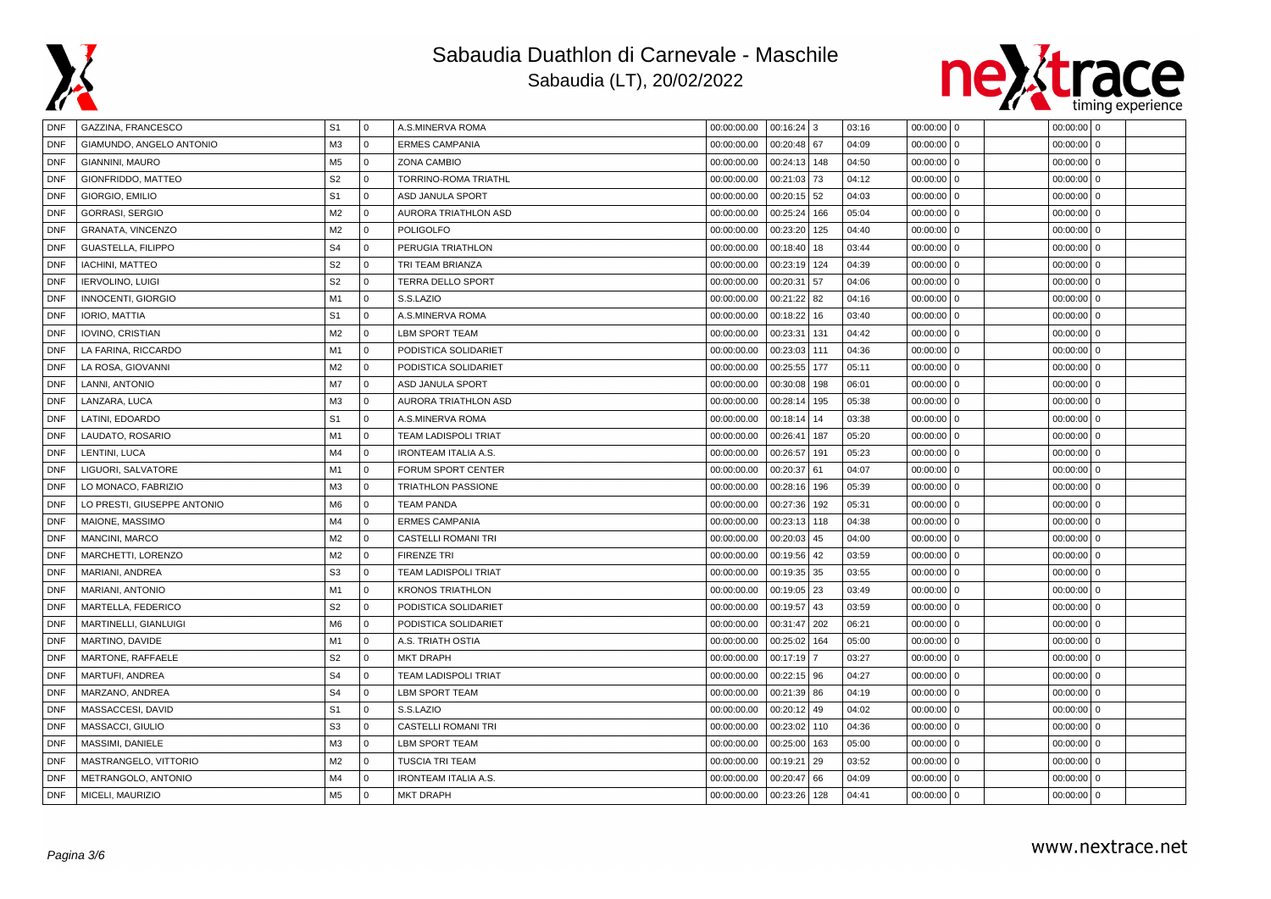



| DNF        | GAZZINA, FRANCESCO          | S <sub>1</sub> | l 0          | A.S.MINERVA ROMA            | 00:00:00.00 | $00:16:24$ 3    | 03:16 | $00:00:00$ 0               | $00:00:00$ 0 |
|------------|-----------------------------|----------------|--------------|-----------------------------|-------------|-----------------|-------|----------------------------|--------------|
| <b>DNF</b> | GIAMUNDO, ANGELO ANTONIO    | M <sub>3</sub> | $\mathbf{0}$ | <b>ERMES CAMPANIA</b>       | 00:00:00.00 | 00:20:48 67     | 04:09 | 00:00:00<br>$\mathbf 0$    | $00:00:00$ 0 |
| <b>DNF</b> | GIANNINI, MAURO             | M <sub>5</sub> | $\mathbf 0$  | ZONA CAMBIO                 | 00:00:00.00 | 00:24:13<br>148 | 04:50 | 00:00:00<br>$\Omega$       | $00:00:00$ 0 |
| <b>DNF</b> | GIONFRIDDO, MATTEO          | S <sub>2</sub> | $\mathbf{0}$ | TORRINO-ROMA TRIATHL        | 00:00:00.00 | 00:21:03<br>73  | 04:12 | 00:00:00<br>$\mathbf 0$    | $00:00:00$ 0 |
| <b>DNF</b> | GIORGIO, EMILIO             | S <sub>1</sub> | $\Omega$     | <b>ASD JANULA SPORT</b>     | 00:00:00.00 | 00:20:15<br>52  | 04:03 | $00:00:00$ 0               | $00:00:00$ 0 |
| <b>DNF</b> | <b>GORRASI, SERGIO</b>      | M <sub>2</sub> | $\mathbf{0}$ | AURORA TRIATHLON ASD        | 00:00:00.00 | 00:25:24<br>166 | 05:04 | $00:00:00$ 0               | $00:00:00$ 0 |
| <b>DNF</b> | GRANATA, VINCENZO           | M <sub>2</sub> | $\mathbf 0$  | <b>POLIGOLFO</b>            | 00:00:00.00 | 00:23:20<br>125 | 04:40 | $\mathbf 0$<br>00:00:00    | $00:00:00$ 0 |
| <b>DNF</b> | GUASTELLA, FILIPPO          | S <sub>4</sub> | $\mathbf{0}$ | PERUGIA TRIATHLON           | 00:00:00.00 | 00:18:40<br>18  | 03:44 | 00:00:00<br>$\mathbf{0}$   | $00:00:00$ 0 |
| <b>DNF</b> | <b>IACHINI, MATTEO</b>      | S <sub>2</sub> | $\Omega$     | TRI TEAM BRIANZA            | 00:00:00.00 | 00:23:19<br>124 | 04:39 | $\mathbf{0}$<br>00:00:00   | $00:00:00$ 0 |
| <b>DNF</b> | <b>IERVOLINO, LUIGI</b>     | S <sub>2</sub> | $\mathbf 0$  | <b>TERRA DELLO SPORT</b>    | 00:00:00.00 | 00:20:31<br>57  | 04:06 | $\mathbf{0}$<br>00:00:00   | $00:00:00$ 0 |
| <b>DNF</b> | INNOCENTI, GIORGIO          | M1             | $\Omega$     | S.S.LAZIO                   | 00:00:00.00 | 00:21:22<br>82  | 04:16 | 00:00:00<br>$\Omega$       | $00:00:00$ 0 |
| <b>DNF</b> | <b>IORIO, MATTIA</b>        | S <sub>1</sub> | $\mathbf 0$  | A.S.MINERVA ROMA            | 00:00:00.00 | 00:18:22<br>16  | 03:40 | 00:00:00<br>$\mathbf 0$    | $00:00:00$ 0 |
| <b>DNF</b> | IOVINO, CRISTIAN            | M <sub>2</sub> | $\mathbf{0}$ | <b>LBM SPORT TEAM</b>       | 00:00:00.00 | 00:23:31<br>131 | 04:42 | 00:00:00<br>$\overline{0}$ | $00:00:00$ 0 |
| <b>DNF</b> | LA FARINA, RICCARDO         | M1             | $\mathbf{0}$ | PODISTICA SOLIDARIET        | 00:00:00.00 | 00:23:03<br>111 | 04:36 | $00:00:00$ 0               | $00:00:00$ 0 |
| <b>DNF</b> | LA ROSA, GIOVANNI           | M <sub>2</sub> | $\mathbf 0$  | PODISTICA SOLIDARIET        | 00:00:00.00 | 00:25:55<br>177 | 05:11 | 00:00:00<br>$\mathbf{0}$   | $00:00:00$ 0 |
| <b>DNF</b> | LANNI, ANTONIO              | M7             | $\mathbf{0}$ | ASD JANULA SPORT            | 00:00:00.00 | 00:30:08<br>198 | 06:01 | 00:00:00<br>$\mathbf{0}$   | $00:00:00$ 0 |
| <b>DNF</b> | LANZARA, LUCA               | M <sub>3</sub> | $\mathbf{0}$ | AURORA TRIATHLON ASD        | 00:00:00.00 | 00:28:14<br>195 | 05:38 | 00:00:00<br>$\mathbf{0}$   | $00:00:00$ 0 |
| <b>DNF</b> | LATINI, EDOARDO             | S <sub>1</sub> | $\mathbf{0}$ | A.S.MINERVA ROMA            | 00:00:00.00 | 00:18:14<br>14  | 03:38 | 00:00:00<br>$\overline{0}$ | $00:00:00$ 0 |
| <b>DNF</b> | LAUDATO, ROSARIO            | M1             | $\mathbf 0$  | <b>TEAM LADISPOLI TRIAT</b> | 00:00:00.00 | 00:26:41<br>187 | 05:20 | 00:00:00<br>$\mathbf 0$    | $00:00:00$ 0 |
| <b>DNF</b> | LENTINI, LUCA               | M4             | $\mathbf 0$  | <b>IRONTEAM ITALIA A.S.</b> | 00:00:00.00 | 00:26:57<br>191 | 05:23 | 00:00:00<br>$\Omega$       | $00:00:00$ 0 |
| <b>DNF</b> | LIGUORI, SALVATORE          | M1             | $\mathbf{0}$ | FORUM SPORT CENTER          | 00:00:00.00 | 00:20:37<br>61  | 04:07 | 00:00:00<br>$\mathbf 0$    | $00:00:00$ 0 |
| <b>DNF</b> | LO MONACO, FABRIZIO         | M <sub>3</sub> | $\Omega$     | <b>TRIATHLON PASSIONE</b>   | 00:00:00.00 | 196<br>00:28:16 | 05:39 | $00:00:00$ 0               | $00:00:00$ 0 |
| <b>DNF</b> | LO PRESTI, GIUSEPPE ANTONIO | M <sub>6</sub> | $\Omega$     | <b>TEAM PANDA</b>           | 00:00:00.00 | 00:27:36<br>192 | 05:31 | 00:00:00<br>$\mathbf{0}$   | $00:00:00$ 0 |
| <b>DNF</b> | MAIONE, MASSIMO             | M4             | $\mathbf{0}$ | <b>ERMES CAMPANIA</b>       | 00:00:00.00 | 00:23:13<br>118 | 04:38 | 00:00:00<br>$\mathbf 0$    | $00:00:00$ 0 |
| <b>DNF</b> | MANCINI, MARCO              | M <sub>2</sub> | $\mathbf{0}$ | <b>CASTELLI ROMANI TRI</b>  | 00:00:00.00 | 00:20:03<br>45  | 04:00 | 00:00:00<br>$\mathbf 0$    | $00:00:00$ 0 |
| <b>DNF</b> | MARCHETTI, LORENZO          | M <sub>2</sub> | $\mathbf{0}$ | <b>FIRENZE TRI</b>          | 00:00:00.00 | 00:19:56<br>42  | 03:59 | $\overline{0}$<br>00:00:00 | $00:00:00$ 0 |
| <b>DNF</b> | MARIANI, ANDREA             | S <sub>3</sub> | $\mathbf 0$  | <b>TEAM LADISPOLI TRIAT</b> | 00:00:00.00 | 00:19:35<br>35  | 03:55 | 00:00:00<br>$\mathbf{0}$   | $00:00:00$ 0 |
| <b>DNF</b> | MARIANI, ANTONIO            | M1             | $\mathbf 0$  | <b>KRONOS TRIATHLON</b>     | 00:00:00.00 | 00:19:05<br>23  | 03:49 | 00:00:00<br>$\Omega$       | $00:00:00$ 0 |
| <b>DNF</b> | MARTELLA, FEDERICO          | S <sub>2</sub> | 0            | PODISTICA SOLIDARIET        | 00:00:00.00 | 00:19:57<br>43  | 03:59 | 00:00:00<br>$\Omega$       | $00:00:00$ 0 |
| <b>DNF</b> | MARTINELLI, GIANLUIGI       | M <sub>6</sub> | $\mathbf{0}$ | PODISTICA SOLIDARIET        | 00:00:00.00 | 202<br>00:31:47 | 06:21 | $00:00:00$ 0               | $00:00:00$ 0 |
| <b>DNF</b> | MARTINO, DAVIDE             | M1             | $\mathbf 0$  | A.S. TRIATH OSTIA           | 00:00:00.00 | 00:25:02<br>164 | 05:00 | $00:00:00$ 0               | $00:00:00$ 0 |
| <b>DNF</b> | MARTONE, RAFFAELE           | S <sub>2</sub> | $\mathbf{0}$ | <b>MKT DRAPH</b>            | 00:00:00.00 | 00:17:19        | 03:27 | 00:00:00<br>$\mathbf{0}$   | $00:00:00$ 0 |
| <b>DNF</b> | MARTUFI, ANDREA             | S <sub>4</sub> | $\mathbf 0$  | <b>TEAM LADISPOLI TRIAT</b> | 00:00:00.00 | 00:22:15 96     | 04:27 | 00:00:00<br>$\mathbf{0}$   | $00:00:00$ 0 |
| <b>DNF</b> | MARZANO, ANDREA             | S <sub>4</sub> | $\Omega$     | <b>LBM SPORT TEAM</b>       | 00:00:00.00 | 00:21:39 86     | 04:19 | $\mathbf 0$<br>00:00:00    | $00:00:00$ 0 |
| <b>DNF</b> | MASSACCESI, DAVID           | S <sub>1</sub> | $\mathbf 0$  | S.S.LAZIO                   | 00:00:00.00 | 00:20:12<br>49  | 04:02 | 00:00:00<br>$\mathbf{0}$   | $00:00:00$ 0 |
| <b>DNF</b> | MASSACCI, GIULIO            | S <sub>3</sub> | $\mathbf 0$  | <b>CASTELLI ROMANI TRI</b>  | 00:00:00.00 | 00:23:02<br>110 | 04:36 | 00:00:00<br>$\mathbf{0}$   | $00:00:00$ 0 |
| <b>DNF</b> | MASSIMI, DANIELE            | M <sub>3</sub> | $\mathbf 0$  | <b>LBM SPORT TEAM</b>       | 00:00:00.00 | 00:25:00<br>163 | 05:00 | 00:00:00<br>$\Omega$       | $00:00:00$ 0 |
| <b>DNF</b> | MASTRANGELO, VITTORIO       | M <sub>2</sub> | $\mathbf{0}$ | <b>TUSCIA TRI TEAM</b>      | 00:00:00.00 | 00:19:21<br>29  | 03:52 | $00:00:00$ 0               | $00:00:00$ 0 |
| <b>DNF</b> | METRANGOLO, ANTONIO         | M4             | $\mathbf{0}$ | <b>IRONTEAM ITALIA A.S.</b> | 00:00:00.00 | 00:20:47<br>66  | 04:09 | 00:00:00<br>$\mathbf{0}$   | $00:00:00$ 0 |
| <b>DNF</b> | MICELI, MAURIZIO            | M <sub>5</sub> | $\Omega$     | <b>MKT DRAPH</b>            | 00:00:00.00 | 00:23:26<br>128 | 04:41 | $00:00:00$ 0               | $00:00:00$ 0 |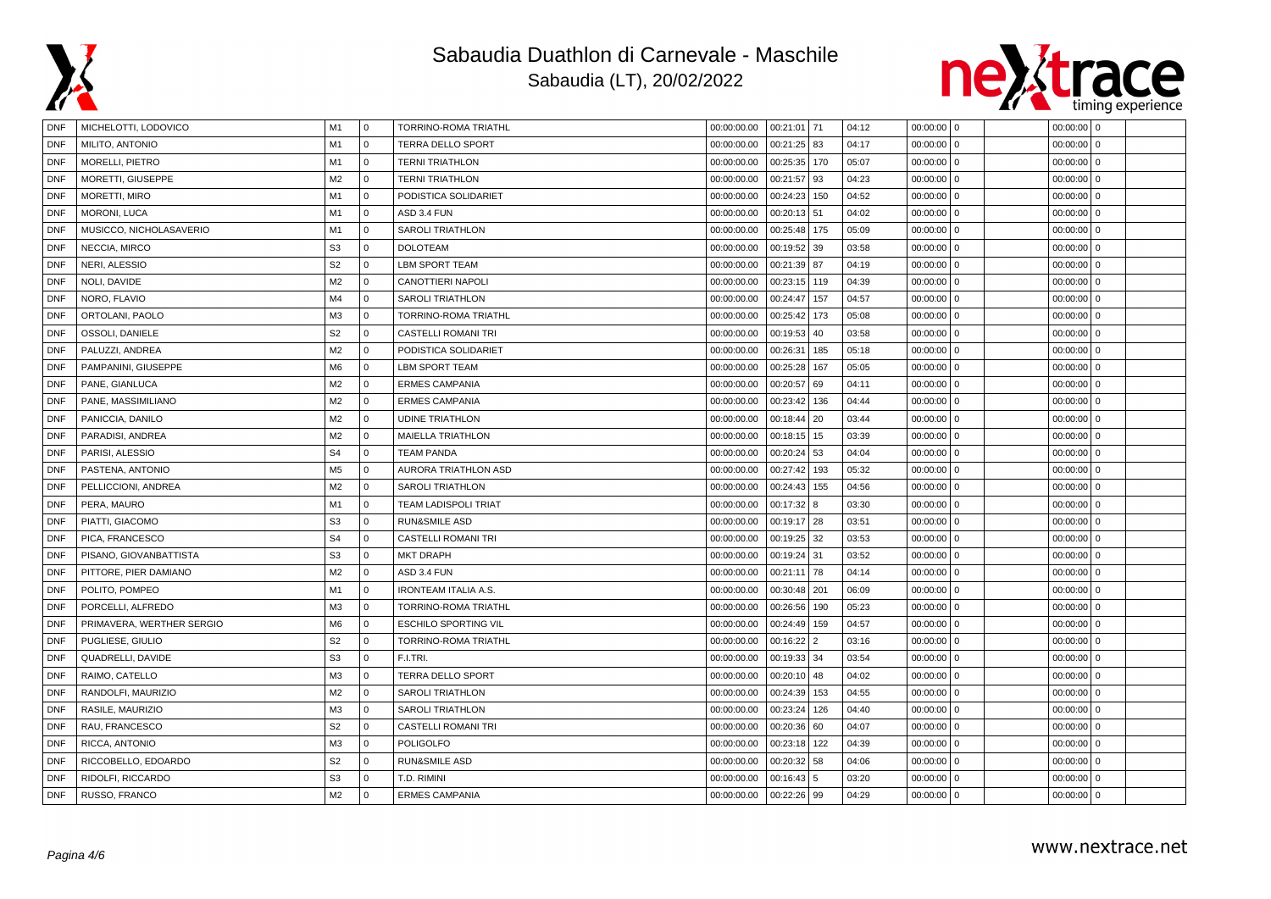



| <b>DNF</b> | MICHELOTTI, LODOVICO      | M1             | $\overline{0}$ | TORRINO-ROMA TRIATHL        | 00:00:00.00 | 00:21:01 71     | 04:12 | $00:00:00$ 0             | $00:00:00$ 0 |  |
|------------|---------------------------|----------------|----------------|-----------------------------|-------------|-----------------|-------|--------------------------|--------------|--|
| <b>DNF</b> | MILITO, ANTONIO           | M1             | $\mathbf 0$    | <b>TERRA DELLO SPORT</b>    | 00:00:00.00 | $00:21:25$ 83   | 04:17 | 00:00:00<br>$\mathbf{0}$ | $00:00:00$ 0 |  |
| <b>DNF</b> | MORELLI, PIETRO           | M1             | $\Omega$       | <b>TERNI TRIATHLON</b>      | 00:00:00.00 | 170<br>00:25:35 | 05:07 | 00:00:00<br>0            | $00:00:00$ 0 |  |
| <b>DNF</b> | MORETTI, GIUSEPPE         | M <sub>2</sub> | $\mathbf 0$    | <b>TERNI TRIATHLON</b>      | 00:00:00.00 | 00:21:57<br>93  | 04:23 | 00:00:00<br>$\Omega$     | $00:00:00$ 0 |  |
| <b>DNF</b> | MORETTI, MIRO             | M1             | $\Omega$       | PODISTICA SOLIDARIET        | 00:00:00.00 | 00:24:23<br>150 | 04:52 | $00:00:00$ 0             | $00:00:00$ 0 |  |
| DNF        | MORONI, LUCA              | M1             | 0              | ASD 3.4 FUN                 | 00:00:00.00 | $00:20:13$ 51   | 04:02 | $00:00:00$ 0             | $00:00:00$ 0 |  |
| <b>DNF</b> | MUSICCO, NICHOLASAVERIO   | M1             | $\Omega$       | <b>SAROLI TRIATHLON</b>     | 00:00:00.00 | 00:25:48 175    | 05:09 | $\mathbf{0}$<br>00:00:00 | $00:00:00$ 0 |  |
| <b>DNF</b> | NECCIA, MIRCO             | S <sub>3</sub> | $\mathbf 0$    | <b>DOLOTEAM</b>             | 00:00:00.00 | 00:19:52<br>39  | 03:58 | 00:00:00<br>$\mathbf{0}$ | $00:00:00$ 0 |  |
| <b>DNF</b> | NERI, ALESSIO             | S <sub>2</sub> | $\mathbf 0$    | LBM SPORT TEAM              | 00:00:00.00 | 00:21:39 87     | 04:19 | $\mathbf{0}$<br>00:00:00 | $00:00:00$ 0 |  |
| <b>DNF</b> | NOLI, DAVIDE              | M <sub>2</sub> | $\mathbf 0$    | CANOTTIERI NAPOLI           | 00:00:00.00 | 00:23:15 119    | 04:39 | 00:00:00<br>$\mathbf{0}$ | $00:00:00$ 0 |  |
| <b>DNF</b> | NORO, FLAVIO              | M <sub>4</sub> | $\Omega$       | <b>SAROLI TRIATHLON</b>     | 00:00:00.00 | 00:24:47<br>157 | 04:57 | $\mathbf 0$<br>00:00:00  | $00:00:00$ 0 |  |
| <b>DNF</b> | ORTOLANI, PAOLO           | M <sub>3</sub> | 0              | TORRINO-ROMA TRIATHL        | 00:00:00.00 | 00:25:42<br>173 | 05:08 | 00:00:00<br>$\Omega$     | $00:00:00$ 0 |  |
| <b>DNF</b> | OSSOLI, DANIELE           | S <sub>2</sub> | $\mathbf 0$    | <b>CASTELLI ROMANI TRI</b>  | 00:00:00.00 | 00:19:53<br>40  | 03:58 | $00:00:00$ 0             | $00:00:00$ 0 |  |
| <b>DNF</b> | PALUZZI, ANDREA           | M <sub>2</sub> | $\mathbf 0$    | PODISTICA SOLIDARIET        | 00:00:00.00 | 185<br>00:26:31 | 05:18 | $00:00:00$ 0             | $00:00:00$ 0 |  |
| <b>DNF</b> | PAMPANINI, GIUSEPPE       | M <sub>6</sub> | $\Omega$       | LBM SPORT TEAM              | 00:00:00.00 | 00:25:28<br>167 | 05:05 | 00:00:00<br>$\mathbf{0}$ | $00:00:00$ 0 |  |
| <b>DNF</b> | PANE, GIANLUCA            | M <sub>2</sub> | 0              | <b>ERMES CAMPANIA</b>       | 00:00:00.00 | 00:20:57<br>69  | 04:11 | 00:00:00<br>0            | $00:00:00$ 0 |  |
| <b>DNF</b> | PANE, MASSIMILIANO        | M <sub>2</sub> | $\mathbf 0$    | <b>ERMES CAMPANIA</b>       | 00:00:00.00 | 00:23:42<br>136 | 04:44 | 00:00:00<br>$\mathbf 0$  | $00:00:00$ 0 |  |
| <b>DNF</b> | PANICCIA, DANILO          | M <sub>2</sub> | $\mathbf 0$    | <b>UDINE TRIATHLON</b>      | 00:00:00.00 | 00:18:44<br>20  | 03:44 | $\mathbf{0}$<br>00:00:00 | $00:00:00$ 0 |  |
| <b>DNF</b> | PARADISI, ANDREA          | M <sub>2</sub> | $\mathbf 0$    | <b>MAIELLA TRIATHLON</b>    | 00:00:00.00 | 00:18:15 15     | 03:39 | 00:00:00<br>$\Omega$     | $00:00:00$ 0 |  |
| <b>DNF</b> | PARISI, ALESSIO           | S <sub>4</sub> | $\mathbf 0$    | <b>TEAM PANDA</b>           | 00:00:00.00 | 00:20:24<br>53  | 04:04 | 00:00:00<br>0            | $00:00:00$ 0 |  |
| <b>DNF</b> | PASTENA, ANTONIO          | M <sub>5</sub> | $\mathbf 0$    | AURORA TRIATHLON ASD        | 00:00:00.00 | 193<br>00:27:42 | 05:32 | 00:00:00<br>$\mathbf 0$  | $00:00:00$ 0 |  |
| <b>DNF</b> | PELLICCIONI, ANDREA       | M <sub>2</sub> | $\mathbf 0$    | <b>SAROLI TRIATHLON</b>     | 00:00:00.00 | 00:24:43<br>155 | 04:56 | 00:00:00<br>$\mathbf{0}$ | $00:00:00$ 0 |  |
| <b>DNF</b> | PERA, MAURO               | M1             | $\mathbf 0$    | <b>TEAM LADISPOLI TRIAT</b> | 00:00:00.00 | 00:17:32<br>8   | 03:30 | 00:00:00<br>$\mathbf{0}$ | $00:00:00$ 0 |  |
| <b>DNF</b> | PIATTI, GIACOMO           | S3             | $\mathbf 0$    | <b>RUN&amp;SMILE ASD</b>    | 00:00:00.00 | $00:19:17$ 28   | 03:51 | 00:00:00<br>$\mathbf{0}$ | $00:00:00$ 0 |  |
| <b>DNF</b> | PICA, FRANCESCO           | S <sub>4</sub> | $\Omega$       | <b>CASTELLI ROMANI TRI</b>  | 00:00:00.00 | $00:19:25$ 32   | 03:53 | 00:00:00<br>$\mathbf 0$  | $00:00:00$ 0 |  |
| <b>DNF</b> | PISANO, GIOVANBATTISTA    | S <sub>3</sub> | $\mathbf 0$    | <b>MKT DRAPH</b>            | 00:00:00.00 | 00:19:24 31     | 03:52 | 00:00:00<br>$\mathbf{0}$ | $00:00:00$ 0 |  |
| <b>DNF</b> | PITTORE, PIER DAMIANO     | M <sub>2</sub> | $\mathbf 0$    | ASD 3.4 FUN                 | 00:00:00.00 | 00:21:11<br>78  | 04:14 | 00:00:00<br>$\mathbf 0$  | $00:00:00$ 0 |  |
| <b>DNF</b> | POLITO, POMPEO            | M1             | $\Omega$       | <b>IRONTEAM ITALIA A.S.</b> | 00:00:00.00 | 00:30:48   201  | 06:09 | 00:00:00<br>0            | $00:00:00$ 0 |  |
| <b>DNF</b> | PORCELLI, ALFREDO         | M <sub>3</sub> | $\mathbf 0$    | TORRINO-ROMA TRIATHL        | 00:00:00.00 | 00:26:56<br>190 | 05:23 | 00:00:00<br>$\mathbf 0$  | $00:00:00$ 0 |  |
| <b>DNF</b> | PRIMAVERA, WERTHER SERGIO | M <sub>6</sub> | $\mathbf 0$    | <b>ESCHILO SPORTING VIL</b> | 00:00:00.00 | 00:24:49<br>159 | 04:57 | $00:00:00$ 0             | $00:00:00$ 0 |  |
| <b>DNF</b> | PUGLIESE, GIULIO          | S <sub>2</sub> | $\mathbf 0$    | TORRINO-ROMA TRIATHL        | 00:00:00.00 | $00:16:22$   2  | 03:16 | 00:00:00<br>$\mathbf 0$  | $00:00:00$ 0 |  |
| <b>DNF</b> | QUADRELLI, DAVIDE         | S <sub>3</sub> | $\mathbf 0$    | F.I.TRI.                    | 00:00:00.00 | 00:19:33 34     | 03:54 | 00:00:00<br>0            | $00:00:00$ 0 |  |
| <b>DNF</b> | RAIMO, CATELLO            | M <sub>3</sub> | $\mathbf 0$    | <b>TERRA DELLO SPORT</b>    | 00:00:00.00 | $00:20:10$ 48   | 04:02 | $\mathbf{0}$<br>00:00:00 | $00:00:00$ 0 |  |
| <b>DNF</b> | RANDOLFI, MAURIZIO        | M <sub>2</sub> | $\mathbf 0$    | <b>SAROLI TRIATHLON</b>     | 00:00:00.00 | 00:24:39 153    | 04:55 | $\mathbf{0}$<br>00:00:00 | $00:00:00$ 0 |  |
| <b>DNF</b> | RASILE, MAURIZIO          | M <sub>3</sub> | $\mathbf 0$    | <b>SAROLI TRIATHLON</b>     | 00:00:00.00 | 00:23:24<br>126 | 04:40 | 00:00:00<br>$\Omega$     | $00:00:00$ 0 |  |
| <b>DNF</b> | RAU, FRANCESCO            | S <sub>2</sub> | $\Omega$       | <b>CASTELLI ROMANI TRI</b>  | 00:00:00.00 | 00:20:36<br>60  | 04:07 | 00:00:00<br>0            | $00:00:00$ 0 |  |
| <b>DNF</b> | RICCA, ANTONIO            | M <sub>3</sub> | $\mathbf 0$    | <b>POLIGOLFO</b>            | 00:00:00.00 | 122<br>00:23:18 | 04:39 | 00:00:00<br>$\Omega$     | $00:00:00$ 0 |  |
| <b>DNF</b> | RICCOBELLO, EDOARDO       | S <sub>2</sub> | $\mathbf 0$    | <b>RUN&amp;SMILE ASD</b>    | 00:00:00.00 | 00:20:32<br>58  | 04:06 | $00:00:00$ 0             | $00:00:00$ 0 |  |
| <b>DNF</b> | RIDOLFI, RICCARDO         | S <sub>3</sub> | $\mathbf 0$    | T.D. RIMINI                 | 00:00:00.00 | 00:16:43 5      | 03:20 | 00:00:00<br>$\mathbf{0}$ | $00:00:00$ 0 |  |
| <b>DNF</b> | RUSSO, FRANCO             | M <sub>2</sub> | $\mathbf 0$    | <b>ERMES CAMPANIA</b>       | 00:00:00.00 | 00:22:26 99     | 04:29 | $00:00:00$ 0             | $00:00:00$ 0 |  |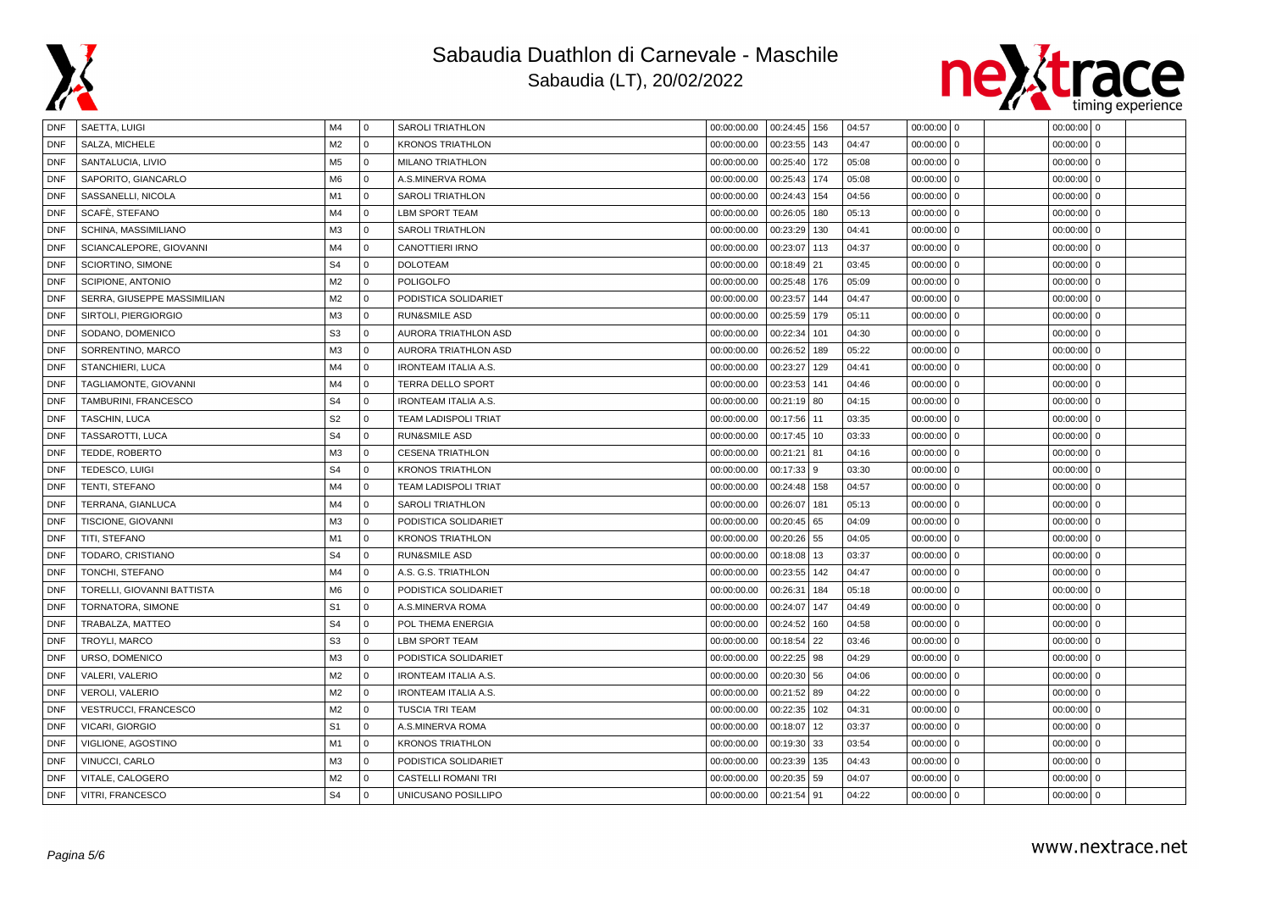



| <b>DNF</b> | SAETTA, LUIGI               | M4             | $\mathbf{0}$ | <b>SAROLI TRIATHLON</b>     | 00:00:00.00 | 00:24:45   156              | 04:57 | $00:00:00$ 0             | $00:00:00$ 0 |
|------------|-----------------------------|----------------|--------------|-----------------------------|-------------|-----------------------------|-------|--------------------------|--------------|
| <b>DNF</b> | SALZA, MICHELE              | M <sub>2</sub> | $^{\circ}$   | <b>KRONOS TRIATHLON</b>     | 00:00:00.00 | 00:23:55<br>143             | 04:47 | 00:00:00<br>$\mathbf{0}$ | $00:00:00$ 0 |
| <b>DNF</b> | SANTALUCIA, LIVIO           | M <sub>5</sub> | $\mathbf{0}$ | <b>MILANO TRIATHLON</b>     | 00:00:00.00 | 00:25:40<br>172             | 05:08 | 00:00:00<br>$^{\circ}$   | $00:00:00$ 0 |
| <b>DNF</b> | SAPORITO, GIANCARLO         | M <sub>6</sub> | $^{\circ}$   | A.S.MINERVA ROMA            | 00:00:00.00 | 00:25:43<br>174             | 05:08 | $00:00:00$ 0             | $00:00:00$ 0 |
| <b>DNF</b> | SASSANELLI, NICOLA          | M1             | $^{\circ}$   | <b>SAROLI TRIATHLON</b>     | 00:00:00.00 | 00:24:43<br>154             | 04:56 | 00:00:00<br>$\mathbf{0}$ | $00:00:00$ 0 |
| <b>DNF</b> | SCAFÈ, STEFANO              | M4             | $\mathbf{0}$ | <b>LBM SPORT TEAM</b>       | 00:00:00.00 | 00:26:05<br>180             | 05:13 | 00:00:00<br>$\mathbf{0}$ | $00:00:00$ 0 |
| <b>DNF</b> | SCHINA, MASSIMILIANO        | M <sub>3</sub> | $\mathbf{0}$ | <b>SAROLI TRIATHLON</b>     | 00:00:00.00 | 00:23:29<br>130             | 04:41 | $\mathbf 0$<br>00:00:00  | $00:00:00$ 0 |
| <b>DNF</b> | SCIANCALEPORE, GIOVANNI     | M4             | $\mathbf{0}$ | <b>CANOTTIERI IRNO</b>      | 00:00:00.00 | 00:23:07<br>113             | 04:37 | $00:00:00$ 0             | $00:00:00$ 0 |
| <b>DNF</b> | SCIORTINO, SIMONE           | S <sub>4</sub> | $\mathbf{0}$ | <b>DOLOTEAM</b>             | 00:00:00.00 | 00:18:49<br>21              | 03:45 | 00:00:00<br>$\mathbf{0}$ | $00:00:00$ 0 |
| <b>DNF</b> | SCIPIONE, ANTONIO           | M <sub>2</sub> | $\Omega$     | <b>POLIGOLFO</b>            | 00:00:00.00 | 00:25:48<br>176             | 05:09 | 00:00:00<br>$\Omega$     | $00:00:00$ 0 |
| <b>DNF</b> | SERRA, GIUSEPPE MASSIMILIAN | M <sub>2</sub> | 0            | PODISTICA SOLIDARIET        | 00:00:00.00 | 00:23:57<br>144             | 04:47 | 00:00:00<br>$\mathbf{0}$ | $00:00:00$ 0 |
| <b>DNF</b> | SIRTOLI, PIERGIORGIO        | M <sub>3</sub> | $\mathbf{0}$ | <b>RUN&amp;SMILE ASD</b>    | 00:00:00.00 | 00:25:59<br>179             | 05:11 | $00:00:00$ 0             | $00:00:00$ 0 |
| <b>DNF</b> | SODANO, DOMENICO            | S <sub>3</sub> | $^{\circ}$   | AURORA TRIATHLON ASD        | 00:00:00.00 | 00:22:34<br>101             | 04:30 | $00:00:00$ 0             | $00:00:00$ 0 |
| <b>DNF</b> | SORRENTINO, MARCO           | M <sub>3</sub> | $\mathbf{0}$ | AURORA TRIATHLON ASD        | 00:00:00.00 | 00:26:52<br>189             | 05:22 | 00:00:00<br>$\mathbf{0}$ | $00:00:00$ 0 |
| <b>DNF</b> | STANCHIERI, LUCA            | M4             | $^{\circ}$   | <b>IRONTEAM ITALIA A.S.</b> | 00:00:00.00 | 00:23:27<br>129             | 04:41 | 00:00:00<br>$\mathbf 0$  | $00:00:00$ 0 |
| <b>DNF</b> | TAGLIAMONTE, GIOVANNI       | M4             | $\mathbf{0}$ | <b>TERRA DELLO SPORT</b>    | 00:00:00.00 | 00:23:53<br>141             | 04:46 | $\mathbf 0$<br>00:00:00  | $00:00:00$ 0 |
| <b>DNF</b> | TAMBURINI, FRANCESCO        | S <sub>4</sub> | $\mathbf{0}$ | <b>IRONTEAM ITALIA A.S.</b> | 00:00:00.00 | $00:21:19$ 80               | 04:15 | $00:00:00$ 0             | $00:00:00$ 0 |
| <b>DNF</b> | TASCHIN, LUCA               | S <sub>2</sub> | $\mathbf 0$  | <b>TEAM LADISPOLI TRIAT</b> | 00:00:00.00 | 00:17:56<br>11              | 03:35 | 00:00:00<br>$\mathbf 0$  | $00:00:00$ 0 |
| <b>DNF</b> | TASSAROTTI, LUCA            | S <sub>4</sub> | $\Omega$     | <b>RUN&amp;SMILE ASD</b>    | 00:00:00.00 | 00:17:45<br>10              | 03:33 | 00:00:00<br>$\Omega$     | $00:00:00$ 0 |
| <b>DNF</b> | TEDDE, ROBERTO              | M <sub>3</sub> | $\mathbf{0}$ | <b>CESENA TRIATHLON</b>     | 00:00:00.00 | 00:21:21<br>81              | 04:16 | 00:00:00<br>$\mathbf 0$  | $00:00:00$ 0 |
| <b>DNF</b> | TEDESCO, LUIGI              | S <sub>4</sub> | $\mathbf{0}$ | <b>KRONOS TRIATHLON</b>     | 00:00:00.00 | 00:17:33 9                  | 03:30 | $00:00:00$ 0             | $00:00:00$ 0 |
| DNF        | TENTI, STEFANO              | M4             | $\mathbf 0$  | <b>TEAM LADISPOLI TRIAT</b> | 00:00:00.00 | 00:24:48<br>158             | 04:57 | $00:00:00$ 0             | $00:00:00$ 0 |
| <b>DNF</b> | TERRANA, GIANLUCA           | M4             | $^{\circ}$   | <b>SAROLI TRIATHLON</b>     | 00:00:00.00 | 00:26:07<br>181             | 05:13 | $\mathbf{0}$<br>00:00:00 | $00:00:00$ 0 |
| <b>DNF</b> | TISCIONE, GIOVANNI          | M <sub>3</sub> | $^{\circ}$   | PODISTICA SOLIDARIET        | 00:00:00.00 | 00:20:45<br>65              | 04:09 | 00:00:00<br>$\mathbf 0$  | $00:00:00$ 0 |
| <b>DNF</b> | TITI, STEFANO               | M1             | $\mathbf{0}$ | <b>KRONOS TRIATHLON</b>     | 00:00:00.00 | 00:20:26<br>55              | 04:05 | $\mathbf 0$<br>00:00:00  | $00:00:00$ 0 |
| <b>DNF</b> | TODARO, CRISTIANO           | S <sub>4</sub> | $\mathbf 0$  | <b>RUN&amp;SMILE ASD</b>    | 00:00:00.00 | 00:18:08<br>13              | 03:37 | 00:00:00<br>$\mathbf{0}$ | $00:00:00$ 0 |
| <b>DNF</b> | TONCHI, STEFANO             | M4             | $\Omega$     | A.S. G.S. TRIATHLON         | 00:00:00.00 | 00:23:55<br>142             | 04:47 | 00:00:00<br>$\mathbf 0$  | $00:00:00$ 0 |
| <b>DNF</b> | TORELLI, GIOVANNI BATTISTA  | M <sub>6</sub> | $\mathbf 0$  | PODISTICA SOLIDARIET        | 00:00:00.00 | 00:26:31<br>184             | 05:18 | 00:00:00<br>$\mathbf 0$  | $00:00:00$ 0 |
| <b>DNF</b> | TORNATORA, SIMONE           | S <sub>1</sub> | $\mathbf{0}$ | A.S.MINERVA ROMA            | 00:00:00.00 | 00:24:07<br>147             | 04:49 | 00:00:00<br>$\mathbf 0$  | $00:00:00$ 0 |
| <b>DNF</b> | TRABALZA, MATTEO            | S <sub>4</sub> | $\mathbf{0}$ | POL THEMA ENERGIA           | 00:00:00.00 | 00:24:52<br>160             | 04:58 | $00:00:00$ 0             | $00:00:00$ 0 |
| <b>DNF</b> | TROYLI, MARCO               | S <sub>3</sub> | $\mathbf 0$  | <b>LBM SPORT TEAM</b>       | 00:00:00.00 | 00:18:54<br>22              | 03:46 | $00:00:00$ 0             | $00:00:00$ 0 |
| <b>DNF</b> | URSO, DOMENICO              | M <sub>3</sub> | $^{\circ}$   | PODISTICA SOLIDARIET        | 00:00:00.00 | 00:22:25<br>98              | 04:29 | 00:00:00<br>$\mathbf 0$  | $00:00:00$ 0 |
| <b>DNF</b> | VALERI, VALERIO             | M <sub>2</sub> | $\mathbf 0$  | <b>IRONTEAM ITALIA A.S.</b> | 00:00:00.00 | 00:20:30 56                 | 04:06 | 00:00:00<br>$\mathbf 0$  | $00:00:00$ 0 |
| <b>DNF</b> | <b>VEROLI, VALERIO</b>      | M <sub>2</sub> | $\mathbf{0}$ | <b>IRONTEAM ITALIA A.S.</b> | 00:00:00.00 | 00:21:52<br>89              | 04:22 | 00:00:00<br>$\mathbf{0}$ | $00:00:00$ 0 |
| <b>DNF</b> | VESTRUCCI, FRANCESCO        | M <sub>2</sub> | $\mathbf{0}$ | <b>TUSCIA TRI TEAM</b>      | 00:00:00.00 | 00:22:35<br>102             | 04:31 | 00:00:00<br>$\mathbf{0}$ | $00:00:00$ 0 |
| <b>DNF</b> | <b>VICARI, GIORGIO</b>      | S <sub>1</sub> | $\mathbf 0$  | A.S.MINERVA ROMA            | 00:00:00.00 | 00:18:07<br>12 <sup>°</sup> | 03:37 | 00:00:00<br>$\mathbf 0$  | $00:00:00$ 0 |
| <b>DNF</b> | VIGLIONE, AGOSTINO          | M1             | $\mathbf 0$  | <b>KRONOS TRIATHLON</b>     | 00:00:00.00 | 00:19:30<br>33              | 03:54 | 00:00:00<br>$\Omega$     | $00:00:00$ 0 |
| <b>DNF</b> | VINUCCI, CARLO              | M <sub>3</sub> | $\Omega$     | PODISTICA SOLIDARIET        | 00:00:00.00 | 135<br>00:23:39             | 04:43 | $00:00:00$ 0             | $00:00:00$ 0 |
| <b>DNF</b> | VITALE, CALOGERO            | M <sub>2</sub> | $\mathbf{0}$ | <b>CASTELLI ROMANI TRI</b>  | 00:00:00.00 | 00:20:35<br>59              | 04:07 | 00:00:00<br>$\mathbf{0}$ | $00:00:00$ 0 |
| <b>DNF</b> | VITRI, FRANCESCO            | S <sub>4</sub> | $\Omega$     | UNICUSANO POSILLIPO         | 00:00:00.00 | 00:21:54<br>91              | 04:22 | 00:00:00 0               | $00:00:00$ 0 |